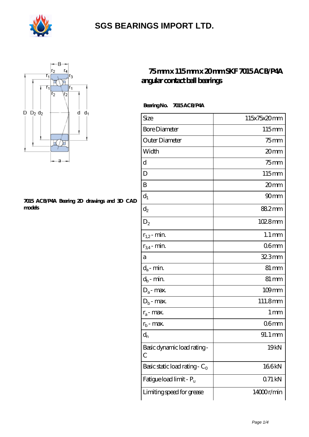



#### **[7015 ACB/P4A Bearing 2D drawings and 3D CAD](https://m.olhac.com/pic-94469.html) [models](https://m.olhac.com/pic-94469.html)**

#### **[75 mm x 115 mm x 20 mm SKF 7015 ACB/P4A](https://m.olhac.com/bh-94469-skf-7015-acb-p4a-angular-contact-ball-bearings.html) [angular contact ball bearings](https://m.olhac.com/bh-94469-skf-7015-acb-p4a-angular-contact-ball-bearings.html)**

 **Bearing No. 7015 ACB/P4A**

| Size                             | 115x75x20mm         |
|----------------------------------|---------------------|
| <b>Bore Diameter</b>             | 115mm               |
| Outer Diameter                   | $75$ mm             |
| Width                            | 20mm                |
| d                                | $75$ mm             |
| D                                | 115mm               |
| B                                | 20mm                |
| $d_1$                            | 90 <sub>mm</sub>    |
| $d_2$                            | 882mm               |
| $D_2$                            | 1028mm              |
| $r_{1,2}$ - min.                 | $1.1 \,\mathrm{mm}$ |
| $r_{34}$ - min.                  | 06 <sub>mm</sub>    |
| а                                | 32.3mm              |
| $d_a$ - min.                     | $81 \,\mathrm{mm}$  |
| $d_b$ - min.                     | $81 \,\mathrm{mm}$  |
| $D_a$ - max.                     | $109$ mm            |
| $D_b$ - max.                     | 111.8mm             |
| $r_a$ - max.                     | 1 mm                |
| $r_{b}$ - max.                   | 06 <sub>mm</sub>    |
| $\mathrm{d}_{\mathrm{n}}$        | 91.1 mm             |
| Basic dynamic load rating-<br>C  | 19 <sub>kN</sub>    |
| Basic static load rating - $C_0$ | 166kN               |
| Fatigue load limit - Pu          | $071$ kN            |
| Limiting speed for grease        | 14000r/min          |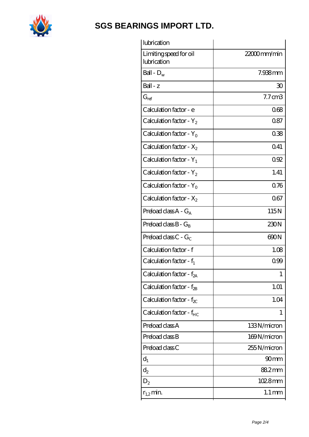

| lubrication                           |                     |
|---------------------------------------|---------------------|
| Limiting speed for oil<br>lubrication | 22000mm/min         |
| Ball - $D_w$                          | 7.938mm             |
| Ball - z                              | 30                  |
| $G_{ref}$                             | $7.7 \text{ cm}$ 3  |
| Calculation factor - e                | 068                 |
| Calculation factor - $Y_2$            | 0.87                |
| Calculation factor - $Y_0$            | 038                 |
| Calculation factor - $X_2$            | 0.41                |
| Calculation factor - $Y_1$            | 092                 |
| Calculation factor - $Y_2$            | 1.41                |
| Calculation factor - $Y_0$            | 0.76                |
| Calculation factor - $X_2$            | 067                 |
| Preload class $A - G_A$               | 115N                |
| Preload class $B - G_B$               | 230N                |
| Preload class $C - G_C$               | 600N                |
| Calculation factor - f                | 1.08                |
| Calculation factor - $f_1$            | 099                 |
| Calculation factor - f <sub>2A</sub>  | 1                   |
| Calculation factor - f <sub>2B</sub>  | 1.01                |
| Calculation factor - $f_{\chi}$       | 1.04                |
| Calculation factor - f <sub>HC</sub>  | 1                   |
| Preload class A                       | 133N/micron         |
| Preload class B                       | 169N/micron         |
| Preload class C                       | 255N/micron         |
| $d_1$                                 | 90mm                |
| $d_2$                                 | 882mm               |
| $D_2$                                 | 1028mm              |
| $r_{1,2}$ min.                        | $1.1 \,\mathrm{mm}$ |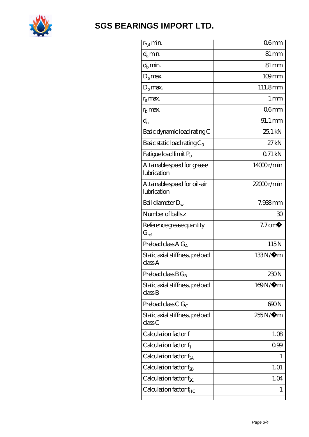

| $r_{34}$ min.                               | 06 <sub>mm</sub>   |
|---------------------------------------------|--------------------|
| $d_a$ min.                                  | $81 \,\mathrm{mm}$ |
| $d_b$ min.                                  | $81 \,\mathrm{mm}$ |
| $D_a$ max.                                  | $109$ mm           |
| $Db$ max.                                   | 111.8mm            |
| $r_a$ max.                                  | $1 \,\mathrm{mm}$  |
| $rb$ max.                                   | 06 <sub>mm</sub>   |
| $d_{n}$                                     | $91.1 \text{mm}$   |
| Basic dynamic load rating C                 | 25.1 kN            |
| Basic static load rating $C_0$              | 27kN               |
| Fatigue load limit Pu                       | $071$ kN           |
| Attainable speed for grease<br>lubrication  | 14000r/min         |
| Attainable speed for oil-air<br>lubrication | $22000$ r/min      |
| Ball diameter $D_w$                         | 7.938mm            |
| Number of balls z                           | 30                 |
| Reference grease quantity<br>$G_{ref}$      | $7.7 \text{ cm}^3$ |
| Preload class A $G_A$                       | 115N               |
| Static axial stiffness, preload<br>classA   | $133N/\mu$ m       |
| Preload class $BG_B$                        | 230N               |
| Static axial stiffness, preload<br>classB   | 169N/μ m           |
| Preload class C $G_C$                       | 600N               |
| Static axial stiffness, preload<br>classC   | 255N/µ m           |
| Calculation factor f                        | 1.08               |
| Calculation factor $f_1$                    | 099                |
| Calculation factor $f_{2A}$                 | L                  |
| Calculation factor $f_{\rm 2B}$             | 1.01               |
|                                             |                    |
| Calculation factor $f_{\chi}$               | 1.04               |
| Calculation factor f <sub>HC</sub>          | 1                  |